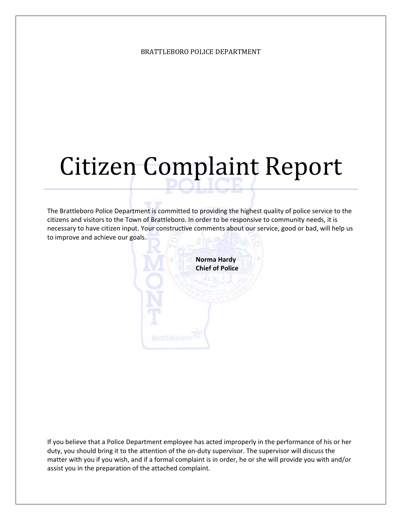## Citizen Complaint Report

The Brattleboro Police Department is committed to providing the highest quality of police service to the citizens and visitors to the Town of Brattleboro. In order to be responsive to community needs, it is necessary to have citizen input. Your constructive comments about our service, good or bad, will help us to improve and achieve our goals.



If you believe that a Police Department employee has acted improperly in the performance of his or her duty, you should bring it to the attention of the on-duty supervisor. The supervisor will discuss the matter with you if you wish, and if a formal complaint is in order, he or she will provide you with and/or assist you in the preparation of the attached complaint.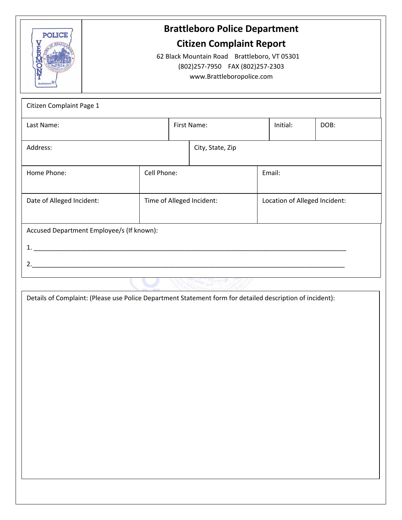

## **Brattleboro Police Department**

## **Citizen Complaint Report**

62 Black Mountain Road Brattleboro, VT 05301 (802)257‐7950 FAX (802)257‐2303 www.Brattleboropolice.com

| Citizen Complaint Page 1                  |             |             |                           |                               |          |      |  |
|-------------------------------------------|-------------|-------------|---------------------------|-------------------------------|----------|------|--|
| Last Name:                                |             | First Name: |                           |                               | Initial: | DOB: |  |
| Address:                                  |             |             | City, State, Zip          |                               |          |      |  |
| Home Phone:                               | Cell Phone: |             |                           | Email:                        |          |      |  |
| Date of Alleged Incident:                 |             |             | Time of Alleged Incident: | Location of Alleged Incident: |          |      |  |
| Accused Department Employee/s (If known): |             |             |                           |                               |          |      |  |
| 1 <sub>1</sub>                            |             |             |                           |                               |          |      |  |
| 2.                                        |             |             |                           |                               |          |      |  |
|                                           |             |             |                           |                               |          |      |  |

Details of Complaint: (Please use Police Department Statement form for detailed description of incident):